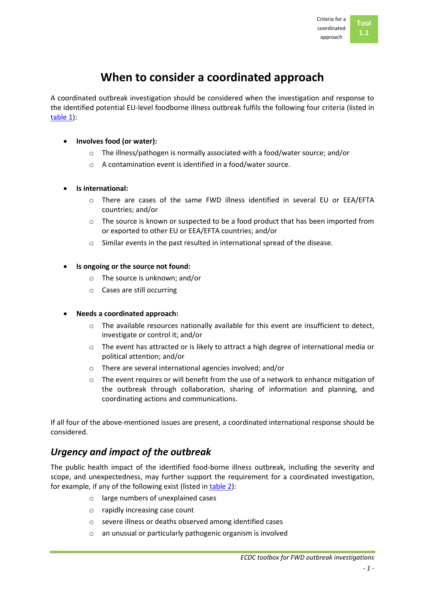# **When to consider a coordinated approach**

A coordinated outbreak investigation should be considered when the investigation and response to the identified potential EU-level foodborne illness outbreak fulfils the following four criteria (listed in [table 1\)](Annexes/Tool%2001.%20Table%201.docx):

- **Involves food (or water):**
	- o The illness/pathogen is normally associated with a food/water source; and/or
	- o A contamination event is identified in a food/water source.
- **Is international:**
	- o There are cases of the same FWD illness identified in several EU or EEA/EFTA countries; and/or
	- $\circ$  The source is known or suspected to be a food product that has been imported from or exported to other EU or EEA/EFTA countries; and/or
	- o Similar events in the past resulted in international spread of the disease.

#### **Is ongoing or the source not found:**

- o The source is unknown; and/or
- o Cases are still occurring

#### **Needs a coordinated approach:**

- $\circ$  The available resources nationally available for this event are insufficient to detect, investigate or control it; and/or
- o The event has attracted or is likely to attract a high degree of international media or political attention; and/or
- o There are several international agencies involved; and/or
- $\circ$  The event requires or will benefit from the use of a network to enhance mitigation of the outbreak through collaboration, sharing of information and planning, and coordinating actions and communications.

If all four of the above-mentioned issues are present, a coordinated international response should be considered.

## *Urgency and impact of the outbreak*

The public health impact of the identified food-borne illness outbreak, including the severity and scope, and unexpectedness, may further support the requirement for a coordinated investigation, for example, if any of the following exist (listed i[n table 2\)](Annexes/Tool%2001.%20Table%202.docx):

- o large numbers of unexplained cases
- o rapidly increasing case count
- o severe illness or deaths observed among identified cases
- o an unusual or particularly pathogenic organism is involved